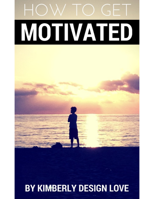

# HOW TO GET MOTIVATED DI V NEC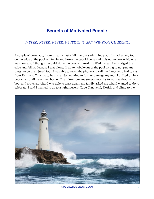## **Secrets of Motivated People**

## *"NEVER, NEVER, NEVER, NEVER GIVE UP." WINSTON CHURCHILL*

A couple of years ago, I took a really nasty fall into our swimming pool. I smacked my foot on the edge of the pool as I fell in and broke the cuboid bone and twisted my ankle. No one was home, so I thought I would sit by the pool and read my iPad instead I misjudged the edge and fell in. Because I was alone, I had to hobble out of the pool trying to not put any pressure on the injured foot. I was able to reach the phone and call my fiancé who had to rush from Tampa to Orlando to help me. Not wanting to further damage my foot, I drifted off in a pool chair until he arrived home. The injury took me several months to walk without an air boot and crutches. After I was able to walk again, my family asked me what I wanted to do to celebrate. I said I wanted to go to a lighthouse in Cape Canaveral, Florida and climb to the



[KIMBERLYDESIGNLOVE.COM](http://KimberlyDesignlove.com) 2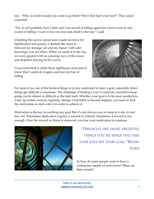top. "Why on Earth would you want to go there? Won't that hurt your foot?" They asked surprised.

"Yes, it will probably hurt a little and I am scared of falling again but I don't want to stay scared of falling. I want to face my fear and climb to the top." I said

Climbing the narrow spiral stairs made me feel a bit lightheaded and queasy. I climbed the stairs in between my teenage son and my fiancé. I felt safer knowing I was not alone. When we made it to the top, we were greeted with an amazing view of the ocean and dolphins playing in the waves.

I was motivated to climb those lighthouse stairs just to know that I could do it again and face my fear of falling.



For most of us, one of the hardest things is to stay motivated to meet a goal, especially when things get difficult or mundane. The challenge of finding a way to motivate yourself to keep going can be almost as difficult as the task itself. Whether your goal is to be more productive, wake up earlier, exercise regularly, change a bad habit or become happier, you need to find the motivation to stick with it in order to achieve it.

Motivation is the key to reaching any goal. But it's not always easy to keep to it day in and day out. Sometimes motivation requires a reward or a threat. Sometimes a reward is not enough. Once the reward or threat is removed, you lose your motivation to continue.



*"OBSTACLES ARE THOSE FRIGHTFUL THINGS YOU SEE WHEN YOU TAKE YOUR EYES OFF YOUR GOAL."HENRY FORD*

So how do some people seem to have a continuous supply of motivation? What are their secrets?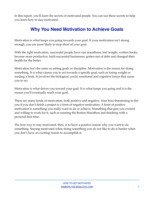In this report, you'll learn the secrets of motivated people. You can use these secrets to help you learn how to stay motivated.

# **Why You Need Motivation to Achieve Goals**

Motivation is what keeps you going towards your goal. If your motivation isn't strong enough, you are more likely to stop short of your goal.

With the right motivation, successful people have run marathons, lost weight, written books, become more productive, built successful businesses, gotten out of debt and changed their health for the better.

Motivation isn't the same as setting goals or discipline. Motivation is the reason for doing something. It is what causes you to act towards a specific goal, such as losing weight or reading a book. It involves the biological, social, emotional and cognitive forces that cause you to act.

Motivation is what drives you toward your goal. It is what keeps you going and it is the reason you'll eventually reach your goal.

There are many kinds of motivation, both positive and negative. Your boss threatening to fire you if you don't finish a project is a form of negative motivation. A form of positive motivation is something you really want to do or achieve. Something that gets you excited and willing to work for it, such as running the Boston Marathon and finishing with a personal best time.

The best way to stay motivated, then, is to have a positive reason why you want to do something. Staying motivated when doing something you do not like to do is harder when you don't have an exciting reason to accomplish it.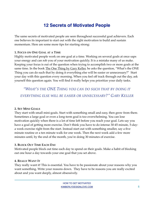# **12 Secrets of Motivated People**

The same secrets of motivated people are seen throughout successful goal achievers. Each one believes its important to start out with the right motivation to build and sustain momentum. Here are some more tips for starting strong:

## **1. FOCUS ON ONE GOAL AT A TIME**

Highly motivated people work on one goal at a time. Working on several goals at once saps your energy and can rob you of your motivation quickly. It is a mistake many of us make. Keeping your focus is out of the question when trying to accomplish two or more goals at the same time. In the book <u>The One Thing by Gary Keller</u>, he asks the question, "What's the ONE Thing you can do such that by doing it everything else will be easier or unnecessary?" Start your day with this question every morning. When you feel off track through out the day, ask yourself this question again. You will find it really helps you prioritize your daily tasks.

*"WHAT'S THE ONE THING YOU CAN DO SUCH THAT BY DOING IT EVERYTHING ELSE WILL BE EASIER OR UNNECESSARY?" GARY KELLER*

## **2. SET MINI GOALS**

They start with small mini-goals. Start with something small and easy, then grow from there. Sometimes a large goal or even a long-term goal is too overwhelming. You can lose motivation quickly when there is a lot of time left before you reach your goal. Lets say you have a goal of getting more exercise. Don't think you have to do intense 30-45 minute, 5-daya week exercise right from the start. Instead start out with something smaller, say a five minute routine or a ten minute walk for one week. Then the next week add a few more minutes until, by the end of the month, you're doing 30 minutes of exercise.

## **3. BLOCK OUT TIME EACH DAY**

Motivated people block out time each day to spend on their goals. Make a habit of blocking out one hour a day towards your one goal that you set above.

## **4. REALLY WANT IT**

They really want it! This is essential. You have to be passionate about your reasons why you want something. Write your reasons down. They have to be reasons you are really excited about and you want deeply, almost obsessively.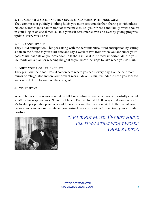## **5. YOU CAN'T BE A SECRET AND BE A SUCCESS - GO PUBLIC WITH YOUR GOAL**

They commit to it publicly. Nothing holds you more accountable than sharing it with others. No one wants to look bad in front of someone else. Tell your friends and family, write about it in your blog or on social media. Hold yourself accountable over and over by giving progress updates every week or so.

#### **6. BUILD ANTICIPATION**

They build anticipation. This goes along with the accountability. Build anticipation by setting a date in the future as your start date and say a week or two from when you announce your goal. Mark that date on your calendar. Talk about it like it is the most important date in your life. Write out a plan for reaching the goal so you know the steps to take when you do start.

### **7. WRITE YOUR GOAL IN PLAIN SITE**

They print out their goal. Post it somewhere where you see it every day, like the bathroom mirror or refrigerator and on your desk at work. Make it a big reminder to keep you focused and excited. Keep focused on the end goal.

### **8. STAY POSITIVE**

When Thomas Edison was asked if he felt like a failure when he had not successfully created a battery, his response was; "I have not failed. I've just found 10,000 ways that won't work." Motivated people stay positive about themselves and their success. With faith in what you believe, you can conquer whatever you desire. Have a win-win attitude. Keep your attitude positive.



*"I HAVE NOT FAILED. I'VE JUST FOUND 10,000 WAYS THAT WON'T WORK." THOMAS EDISON*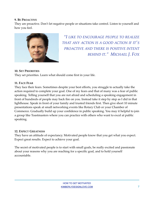### **9. BE PROACTIVE**

They are proactive. Don't let negative people or situations take control. Listen to yourself and how you feel.



*"I LIKE TO ENCOURAGE PEOPLE TO REALIZE THAT ANY ACTION IS A GOOD ACTION IF IT'S PROACTIVE AND THERE IS POSITIVE INTENT BEHIND IT." MICHAEL J. FOX*

### **10. SET PRIORITIES**

They set priorities. Learn what should come first in your life.

### **11. FACE FEAR**

They face their fears. Sometimes despite your best efforts, you struggle to actually take the action required to complete your goal. One of my fears and that of many was a fear of public speaking. Telling yourself that you are not afraid and scheduling a speaking engagement in front of hundreds of people may back fire on you. Instead take it step by step as I did in that lighthouse. Speak in front of your family and trusted friends first. Then give short 10 minute presentations speak at small networking events like Rotary Club or your Chamber of Commerce. Gradually build up your confidence in public speaking. You may it helpful to join a group like Toastmasters where you can practice with others who want to excel at public speaking.

## **12. EXPECT GREATNESS**

They have an attitude of expectancy. Motivated people know that you get what you expect. Expect great results. Expect to achieve your goal.

The secret of motivated people is to start with small goals, be really excited and passionate about your reasons why you are reaching for a specific goal, and to hold yourself accountable.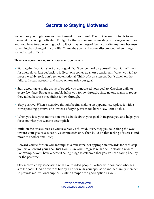# **Secrets to Staying Motivated**

Sometimes you might lose your excitement for your goal. The trick to keep going is to learn the secret to staying motivated. It might be that you missed a few days working on your goal and now have trouble getting back to it. Or maybe the goal isn't a priority anymore because something has changed in your life. Or maybe you just became discouraged when things started to get difficult.

#### **HERE ARE SOME TIPS TO HELP YOU STAY MOTIVATED**

- Start again if you fall short of your goal. Don't be too hard on yourself if you fall off track for a few days. Just get back to it. Everyone comes up short occasionally. When you fail to meet a weekly goal, don't get too emotional. Think of it as a lesson. Don't dwell on the failure. Instead accept it and move on towards your goal.
- Stay accountable to the group of people you announced your goal to. Check in daily or every few days. Being accountable helps you follow through, since no one wants to report they failed because they didn't follow through.
- Stay positive. When a negative thought begins making an appearance, replace it with a corresponding positive one. Instead of saying, this is too hard!î say, I can do this!î
- When you lose your motivation, read a book about your goal. It inspires you and helps you focus on what you want to accomplish.
- Build on the little successes you've already achieved. Every step you take along the way toward your goal is a success. Celebrate each one. Then build on that feeling of success and move to another small step.
- Reward yourself when you accomplish a milestone. Set appropriate rewards for each step you make toward your goal. Just Don't ruin your progress with a self-defeating reward. For example,Don't have a dessert eating binge to celebrate that you've been eating healthy for the past week.
- Stay motivated by associating with like-minded people. Partner with someone who has similar goals. Find an exercise buddy. Partner with your spouse or another family member to provide motivational support. Online groups are a good option as well.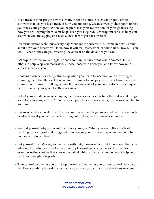- Keep track of your progress with a chart. It can be a simple calendar or goal setting software that lets you keep track of how you are doing. Create a weekly checkpoint to help you track your progress. When you begin to lose your motivation for your goal, seeing how you are keeping them so far helps keep you inspired. A checkpoint can also help you see when you are lagging and need a kick start to get back on track.
- Use visualization techniques every day. Visualize the successful outcome in detail. Think about how your success will look, how it will feel, taste, smell or sound like. How will you look? What clothes are you wearing? Be as clear on the details as you can.
- Get support when you struggle. Friends and family truly want you to succeed. Enlist others to help keep you motivated. Choose those who know you and know how much success means to you.
- Challenge yourself or change things up when you begin to lose motivation. Adding or changing the difficulty level of what you're aiming for keeps you moving towards positive change. For example, challenge yourself to organize all of your countertops in one day to help you reach your goal of getting organized.
- Refuel your mind. Focus on enjoying the process as well as reaching the end goal if things seem to be moving slowly. Attend workshops, take a class or join a group session related to your goal.
- It is okay to take a break. Even the most motivated people get overwhelmed. Take a much needed break if you feel yourself burning out. Take a walk or make a smoothie.
- Remind yourself why you want to achieve your goal. When you are in the middle of reaching for your goal and things get mundane or you hit a tough spot, remember why you are working so hard.
- Put yourself first. Making yourself a priority might seem selfish, but if you don't then you will derail. Putting yourself last in order to please others is a recipe for disaster. For example, eating cookies that your mom baked while on a sugar-free diet won't help you reach your weight loss goals.
- Take control over what you can. Stop worrying about what you cannot control. When you feel like everything is working against you, take a step back. Realize that there are some